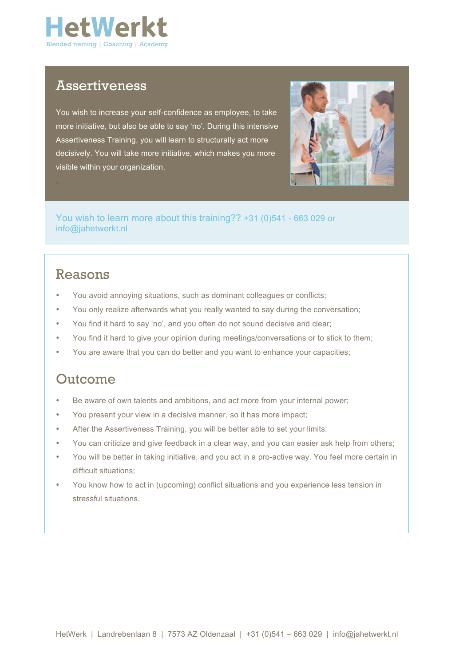

### Assertiveness

You wish to increase your self-confidence as employee, to take more initiative, but also be able to say 'no'. During this intensive Assertiveness Training, you will learn to structurally act more decisively. You will take more initiative, which makes you more visible within your organization.



You wish to learn more about this training?? +31 (0)541 - 663 029 or info@jahetwerkt.nl

## Reasons

.

- You avoid annoying situations, such as dominant colleagues or conflicts;
- You only realize afterwards what you really wanted to say during the conversation;
- You find it hard to say 'no', and you often do not sound decisive and clear;
- You find it hard to give your opinion during meetings/conversations or to stick to them;
- You are aware that you can do better and you want to enhance your capacities;

### Outcome

- Be aware of own talents and ambitions, and act more from your internal power;
- You present your view in a decisive manner, so it has more impact;
- After the Assertiveness Training, you will be better able to set your limits:
- You can criticize and give feedback in a clear way, and you can easier ask help from others;
- You will be better in taking initiative, and you act in a pro-active way. You feel more certain in difficult situations;
- You know how to act in (upcoming) conflict situations and you experience less tension in stressful situations.